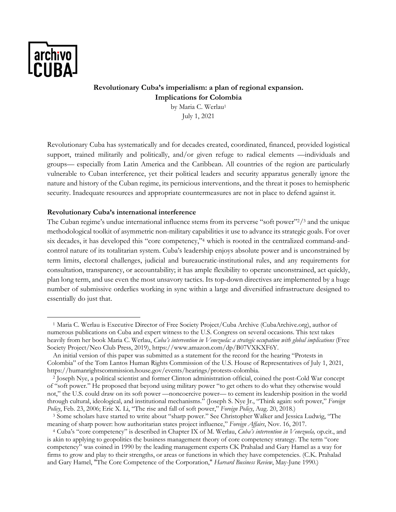

# **Revolutionary Cuba's imperialism: a plan of regional expansion. Implications for Colombia**  by Maria C. Werlau<sup>1</sup>

July 1, 2021

Revolutionary Cuba has systematically and for decades created, coordinated, financed, provided logistical support, trained militarily and politically, and/or given refuge to radical elements —individuals and groups— especially from Latin America and the Caribbean. All countries of the region are particularly vulnerable to Cuban interference, yet their political leaders and security apparatus generally ignore the nature and history of the Cuban regime, its pernicious interventions, and the threat it poses to hemispheric security. Inadequate resources and appropriate countermeasures are not in place to defend against it.

### **Revolutionary Cuba's international interference**

The Cuban regime's undue international influence stems from its perverse "soft power" $\frac{2}{3}$  and the unique methodological toolkit of asymmetric non-military capabilities it use to advance its strategic goals. For over six decades, it has developed this "core competency,"4 which is rooted in the centralized command-andcontrol nature of its totalitarian system. Cuba's leadership enjoys absolute power and is unconstrained by term limits, electoral challenges, judicial and bureaucratic-institutional rules, and any requirements for consultation, transparency, or accountability; it has ample flexibility to operate unconstrained, act quickly, plan long term, and use even the most unsavory tactics. Its top-down directives are implemented by a huge number of submissive orderlies working in sync within a large and diversified infrastructure designed to essentially do just that.

<sup>1</sup> Maria C. Werlau is Executive Director of Free Society Project/Cuba Archive (CubaArchive.org), author of numerous publications on Cuba and expert witness to the U.S. Congress on several occasions. This text takes heavily from her book Maria C. Werlau, *Cuba's intervention in Venezuela: a strategic occupation with global implications* (Free Society Project/Neo Club Press, 2019), https://www.amazon.com/dp/B07VXKXF6Y.

An initial version of this paper was submitted as a statement for the record for the hearing "Protests in Colombia" of the Tom Lantos Human Rights Commission of the U.S. House of Representatives of July 1, 2021, https://humanrightscommission.house.gov/events/hearings/protests-colombia. 2 Joseph Nye, a political scientist and former Clinton administration official, coined the post-Cold War concept

of "soft power." He proposed that beyond using military power "to get others to do what they otherwise would not," the U.S. could draw on its soft power —noncoercive power— to cement its leadership position in the world through cultural, ideological, and institutional mechanisms." (Joseph S. Nye Jr., "Think again: soft power," *Foreign Policy*, Feb. 23, 2006; Eric X. Li, "The rise and fall of soft power," *Foreign Policy*, Aug. 20, 2018.)

<sup>3</sup> Some scholars have started to write about "sharp power." See Christopher Walker and Jessica Ludwig, "The meaning of sharp power: how authoritarian states project influence," *Foreign Affairs*, Nov. 16, 2017.

<sup>4</sup> Cuba's "core competency" is described in Chapter IX of M. Werlau, *Cuba's intervention in Venezuela,* op.cit., and is akin to applying to geopolitics the business management theory of core competency strategy. The term "core competency" was coined in 1990 by the leading management experts CK Prahalad and Gary Hamel as a way for firms to grow and play to their strengths, or areas or functions in which they have competencies. (C.K. Prahalad and Gary Hamel, "The Core Competence of the Corporation," *Harvard Business Review*, May-June 1990.)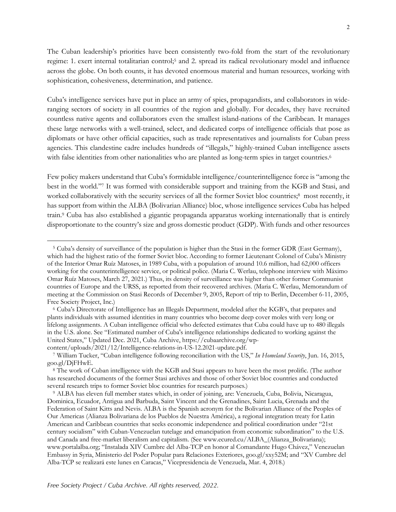The Cuban leadership's priorities have been consistently two-fold from the start of the revolutionary regime: 1. exert internal totalitarian control;5 and 2. spread its radical revolutionary model and influence across the globe. On both counts, it has devoted enormous material and human resources, working with sophistication, cohesiveness, determination, and patience.

Cuba's intelligence services have put in place an army of spies, propagandists, and collaborators in wideranging sectors of society in all countries of the region and globally. For decades, they have recruited countless native agents and collaborators even the smallest island-nations of the Caribbean. It manages these large networks with a well-trained, select, and dedicated corps of intelligence officials that pose as diplomats or have other official capacities, such as trade representatives and journalists for Cuban press agencies. This clandestine cadre includes hundreds of "illegals," highly-trained Cuban intelligence assets with false identities from other nationalities who are planted as long-term spies in target countries.<sup>6</sup>

Few policy makers understand that Cuba's formidable intelligence/counterintelligence force is "among the best in the world."7 It was formed with considerable support and training from the KGB and Stasi, and worked collaboratively with the security services of all the former Soviet bloc countries;<sup>8</sup> most recently, it has support from within the ALBA (Bolivarian Alliance) bloc, whose intelligence services Cuba has helped train.9 Cuba has also established a gigantic propaganda apparatus working internationally that is entirely disproportionate to the country's size and gross domestic product (GDP). With funds and other resources

<sup>5</sup> Cuba's density of surveillance of the population is higher than the Stasi in the former GDR (East Germany), which had the highest ratio of the former Soviet bloc.According to former Lieutenant Colonel of Cuba's Ministry of the Interior Omar Ruíz Matoses, in 1989 Cuba, with a population of around 10.6 million, had 62,000 officers working for the counterintelligence service, or political police. (Maria C. Werlau, telephone interview with Máximo Omar Ruíz Matoses, March 27, 2021.) Thus, its density of surveillance was higher than other former Communist countries of Europe and the URSS, as reported from their recovered archives. (Maria C. Werlau, Memorandum of meeting at the Commission on Stasi Records of December 9, 2005, Report of trip to Berlin, December 6-11, 2005, Free Society Project, Inc.)

<sup>6</sup> Cuba's Directorate of Intelligence has an Illegals Department, modeled after the KGB's, that prepares and plants individuals with assumed identities in many countries who become deep cover moles with very long or lifelong assignments. A Cuban intelligence official who defected estimates that Cuba could have up to 480 illegals in the U.S. alone. See "Estimated number of Cuba's intelligence relationships dedicated to working against the United States," Updated Dec. 2021, Cuba Archive, https://cubaarchive.org/wpcontent/uploads/2021/12/Intelligence-relations-in-US-12.2021-update.pdf.

<sup>7</sup> William Tucker, "Cuban intelligence following reconciliation with the US," *In Homeland Security*, Jun. 16, 2015,

goo.gl/DjFHwE. 8 The work of Cuban intelligence with the KGB and Stasi appears to have been the most prolific. (The author has researched documents of the former Stasi archives and those of other Soviet bloc countries and conducted several research trips to former Soviet bloc countries for research purposes*.*)

<sup>9</sup> ALBA has eleven full member states which, in order of joining, are: Venezuela, Cuba, Bolivia, Nicaragua, Dominica, Ecuador, Antigua and Barbuda, Saint Vincent and the Grenadines, Saint Lucia, Grenada and the Federation of Saint Kitts and Nevis. ALBA is the Spanish acronym for the Bolivarian Alliance of the Peoples of Our Americas (Alianza Bolivariana de los Pueblos de Nuestra América), a regional integration treaty for Latin American and Caribbean countries that seeks economic independence and political coordination under "21st century socialism" with Cuban-Venezuelan tutelage and emancipation from economic subordination" to the U.S. and Canada and free-market liberalism and capitalism. (See www.ecured.cu/ALBA\_(Alianza\_Bolivariana); www.portalalba.org; "Instalada XIV Cumbre del Alba-TCP en honor al Comandante Hugo Chávez," Venezuelan Embassy in Syria, Ministerio del Poder Popular para Relaciones Exteriores, goo.gl/xxy52M; and "XV Cumbre del Alba-TCP se realizará este lunes en Caracas," Vicepresidencia de Venezuela, Mar. 4, 2018.)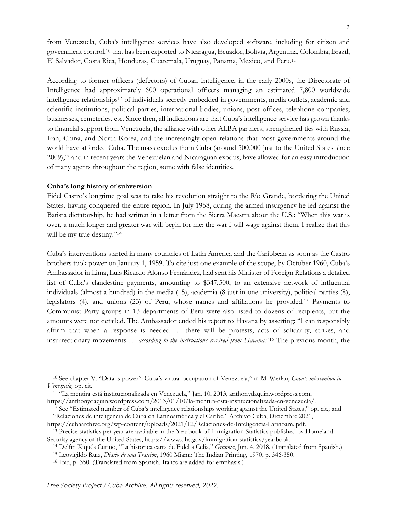from Venezuela, Cuba's intelligence services have also developed software, including for citizen and government control,10 that has been exported to Nicaragua, Ecuador, Bolivia, Argentina, Colombia, Brazil, El Salvador, Costa Rica, Honduras, Guatemala, Uruguay, Panama, Mexico, and Peru.11

According to former officers (defectors) of Cuban Intelligence, in the early 2000s, the Directorate of Intelligence had approximately 600 operational officers managing an estimated 7,800 worldwide intelligence relationships12 of individuals secretly embedded in governments, media outlets, academic and scientific institutions, political parties, international bodies, unions, post offices, telephone companies, businesses, cemeteries, etc. Since then, all indications are that Cuba's intelligence service has grown thanks to financial support from Venezuela, the alliance with other ALBA partners, strengthened ties with Russia, Iran, China, and North Korea, and the increasingly open relations that most governments around the world have afforded Cuba. The mass exodus from Cuba (around 500,000 just to the United States since 2009),13 and in recent years the Venezuelan and Nicaraguan exodus, have allowed for an easy introduction of many agents throughout the region, some with false identities.

#### **Cuba's long history of subversion**

Fidel Castro's longtime goal was to take his revolution straight to the Río Grande, bordering the United States, having conquered the entire region. In July 1958, during the armed insurgency he led against the Batista dictatorship, he had written in a letter from the Sierra Maestra about the U.S.: "When this war is over, a much longer and greater war will begin for me: the war I will wage against them. I realize that this will be my true destiny."<sup>14</sup>

Cuba's interventions started in many countries of Latin America and the Caribbean as soon as the Castro brothers took power on January 1, 1959. To cite just one example of the scope, by October 1960, Cuba's Ambassador in Lima, Luis Ricardo Alonso Fernández, had sent his Minister of Foreign Relations a detailed list of Cuba's clandestine payments, amounting to \$347,500, to an extensive network of influential individuals (almost a hundred) in the media (15), academia (8 just in one university), political parties (8), legislators (4), and unions (23) of Peru, whose names and affiliations he provided.15 Payments to Communist Party groups in 13 departments of Peru were also listed to dozens of recipients, but the amounts were not detailed. The Ambassador ended his report to Havana by asserting: "I can responsibly affirm that when a response is needed … there will be protests, acts of solidarity, strikes, and insurrectionary movements … *according to the instructions received from Havana*."16 The previous month, the

<sup>10</sup> See chapter V. "Data is power": Cuba's virtual occupation of Venezuela," in M. Werlau, *Cuba's intervention in Venezuela,* op. cit.

<sup>11</sup> "La mentira está institucionalizada en Venezuela," Jan. 10, 2013, anthonydaquin.wordpress.com,

https://anthonydaquin.wordpress.com/2013/01/10/la-mentira-esta-institucionalizada-en-venezuela/.

<sup>12</sup> See "Estimated number of Cuba's intelligence relationships working against the United States," op. cit.; and "Relaciones de inteligencia de Cuba en Latinoamérica y el Caribe," Archivo Cuba, Diciembre 2021,

https://cubaarchive.org/wp-content/uploads/2021/12/Relaciones-de-Inteligencia-Latinoam..pdf. <sup>13</sup> Precise statistics per year are available in the Yearbook of Immigration Statistics published by Homeland

Security agency of the United States, https://www.dhs.gov/immigration-statistics/yearbook.

<sup>14</sup> Delfín Xiqués Cutiño, "La histórica carta de Fidel a Celia," *Granma*, Jun. 4, 2018. (Translated from Spanish.)

<sup>15</sup> Leovigildo Ruiz, *Diario de una Traición*, 1960 Miami: The Indian Printing, 1970, p. 346-350.

<sup>16</sup> Ibid, p. 350. (Translated from Spanish. Italics are added for emphasis.)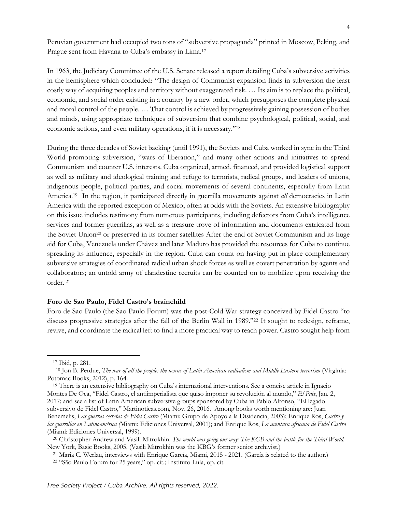Peruvian government had occupied two tons of "subversive propaganda" printed in Moscow, Peking, and Prague sent from Havana to Cuba's embassy in Lima.17

In 1963, the Judiciary Committee of the U.S. Senate released a report detailing Cuba's subversive activities in the hemisphere which concluded: "The design of Communist expansion finds in subversion the least costly way of acquiring peoples and territory without exaggerated risk. … Its aim is to replace the political, economic, and social order existing in a country by a new order, which presupposes the complete physical and moral control of the people. … That control is achieved by progressively gaining possession of bodies and minds, using appropriate techniques of subversion that combine psychological, political, social, and economic actions, and even military operations, if it is necessary."18

During the three decades of Soviet backing (until 1991), the Soviets and Cuba worked in sync in the Third World promoting subversion, "wars of liberation," and many other actions and initiatives to spread Communism and counter U.S. interests. Cuba organized, armed, financed, and provided logistical support as well as military and ideological training and refuge to terrorists, radical groups, and leaders of unions, indigenous people, political parties, and social movements of several continents, especially from Latin America.19 In the region, it participated directly in guerrilla movements against *all* democracies in Latin America with the reported exception of Mexico, often at odds with the Soviets. An extensive bibliography on this issue includes testimony from numerous participants, including defectors from Cuba's intelligence services and former guerrillas, as well as a treasure trove of information and documents extricated from the Soviet Union<sup>20</sup> or preserved in its former satellites After the end of Soviet Communism and its huge aid for Cuba, Venezuela under Chávez and later Maduro has provided the resources for Cuba to continue spreading its influence, especially in the region. Cuba can count on having put in place complementary subversive strategies of coordinated radical urban shock forces as well as covert penetration by agents and collaborators; an untold army of clandestine recruits can be counted on to mobilize upon receiving the order. <sup>21</sup>

#### **Foro de Sao Paulo, Fidel Castro's brainchild**

Foro de Sao Paulo (the Sao Paulo Forum) was the post-Cold War strategy conceived by Fidel Castro "to discuss progressive strategies after the fall of the Berlin Wall in 1989."22 It sought to redesign, reframe, revive, and coordinate the radical left to find a more practical way to reach power. Castro sought help from

<sup>17</sup> Ibid, p. 281.

<sup>18</sup> Jon B. Perdue, *The war of all the people: the nexus of Latin American radicalism and Middle Eastern terrorism* (Virginia: Potomac Books, 2012), p. 164.

<sup>19</sup> There is an extensive bibliography on Cuba's international interventions. See a concise article in Ignacio Montes De Oca, "Fidel Castro, el antiimperialista que quiso imponer su revolución al mundo," *El País*, Jan. 2, 2017; and see a list of Latin American subversive groups sponsored by Cuba in Pablo Alfonso, "El legado subversivo de Fidel Castro," Martinoticas.com, Nov. 26, 2016. Among books worth mentioning are: Juan Benemelis, *Las guerras secretas de Fidel Castro* (Miami: Grupo de Apoyo a la Disidencia, 2003); Enrique Ros, *Castro y las guerrillas en Latinoamérica (*Miami: Ediciones Universal, 2001); and Enrique Ros, *La aventura africana de Fidel Castro* (Miami: Ediciones Universal, 1999).

<sup>20</sup> Christopher Andrew and Vasili Mitrokhin. *The world was going our way: The KGB and the battle for the Third World.* New York, Basic Books, 2005. (Vasili Mitrokhin was the KBG's former senior archivist.)

<sup>21</sup> Maria C. Werlau, interviews with Enrique García, Miami, 2015 - 2021. (García is related to the author.)

<sup>22</sup> "São Paulo Forum for 25 years," op. cit.; Instituto Lula, op. cit.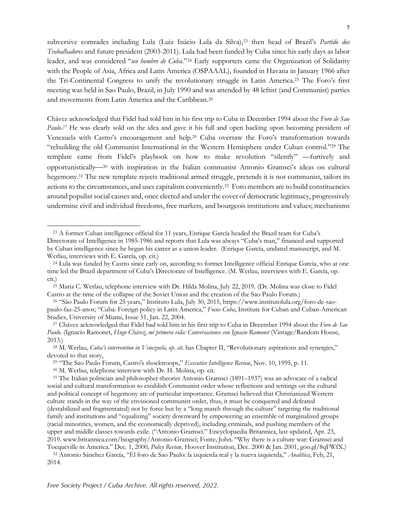subversive comrades including Lula (Luiz Inácio Lula da Silva),23 then head of Brazil's *Partido dos Trabalhadores* and future president (2003-2011). Lula had been funded by Cuba since his early days as labor leader, and was considered "*un hombre de Cuba*."24 Early supporters came the Organization of Solidarity with the People of Asia, Africa and Latin America (OSPAAAL), founded in Havana in January 1966 after the Tri-Continental Congress to unify the revolutionary struggle in Latin America.25 The Foro's first meeting was held in Sao Paulo, Brazil, in July 1990 and was attended by 48 leftist (and Communist) parties and movements from Latin America and the Caribbean.26

Chávez acknowledged that Fidel had told him in his first trip to Cuba in December 1994 about the *Foro de Sao Paulo.*<sup>27</sup> He was clearly sold on the idea and gave it his full and open backing upon becoming president of Venezuela with Castro's encouragement and help.28 Cuba oversaw the Foro's transformation towards "rebuilding the old Communist International in the Western Hemisphere under Cuban control."29 The template came from Fidel's playbook on how to make revolution "silently" —furtively and opportunistically¾<sup>30</sup> with inspiration in the Italian communist Antonio Gramsci's ideas on cultural hegemony.31 The new template rejects traditional armed struggle, pretends it is not communist, tailors its actions to the circumstances, and uses capitalism conveniently.32 Foro members are to build constituencies around populist social causes and, once elected and under the cover of democratic legitimacy, progressively undermine civil and individual freedoms, free markets, and bourgeois institutions and values; mechanisms

<sup>23</sup> A former Cuban intelligence official for 11 years, Enrique García headed the Brazil team for Cuba's Directorate of Intelligence in 1985-1986 and reports that Lula was always "Cuba's man," financed and supported by Cuban intelligence since he began his career as a union leader. (Enrique García, undated manuscript, and M. Werlau, interviews with E. García, op. cit.)

<sup>24</sup> Lula was funded by Castro since early on, according to former Intelligence official Enrique García, who at one time led the Brazil department of Cuba's Directorate of Intelligence. (M. Werlau, interviews with E. García, op. cit.)

<sup>25</sup> Maria C. Werlau, telephone interview with Dr. Hilda Molina, July 22, 2019. (Dr. Molina was close to Fidel Castro at the time of the collapse of the Soviet Union and the creation of the Sao Paulo Forum.)

<sup>26</sup> "São Paulo Forum for 25 years," Instituto Lula, July 30, 2015, https://www.institutolula.org/foro-de-saopaulo-faz-25-anos; "Cuba: Foreign policy in Latin America," *Focus Cuba*, Institute for Cuban and Cuban-American Studies, University of Miami, Issue 51, Jan. 22, 2004.

<sup>27</sup> Chávez acknowledged that Fidel had told him in his first trip to Cuba in December 1994 about the *Foro de Sao*  Paulo. (Ignacio Ramonet, *Hugo Chávez, mi primera vida: Conversaciones con Ignacio Ramonet* (Vintage/Random House, 2013.)

<sup>28</sup> M. Werlau, *Cuba's intervention in Venezuela, op. cit.* has Chapter II, "Revolutionary aspirations and synergies," devoted to that story,

<sup>29</sup> "The Sao Paulo Forum, Castro's shocktroops," *Executive Intelligence Review*, Nov. 10, 1995, p. 11.

<sup>30</sup> M. Werlau, telephone interview with Dr. H. Molina, op. cit.

<sup>31</sup> The Italian politician and philosopher-theorist Antonio Gramsci (1891–1937) was an advocate of a radical social and cultural transformation to establish Communist order whose reflections and writings on the cultural and political concept of hegemony are of particular importance. Gramsci believed that Christianized Western culture stands in the way of the envisioned communist order, thus, it must be conquered and defeated (destabilized and fragmentated) not by force but by a "long march through the culture" targeting the traditional family and institutions and "equalizing" society downward by empowering an ensemble of marginalized groups (racial minorities, women, and the economically deprived), including criminals, and pushing members of the upper and middle classes towards exile. ("Antonio Gramsci." Encyclopaedia Britannica, last updated, Apr. 23, 2019. www.britannica.com/biography/Antonio-Gramsci; Fonte, John. "Why there is a culture war: Gramsci and Tocqueville in America." Dec. 1, 2000*, Policy Review,* Hoover Institution, Dec. 2000 & Jan. 2001, goo.gl/8qFWfX.)

<sup>32</sup> Antonio Sánchez García, "El foro de Sao Paulo: la izquierda real y la nueva izquierda," *Analítica*, Feb, 21, 2014.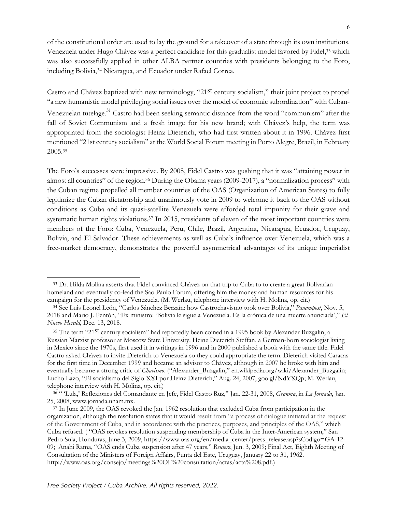of the constitutional order are used to lay the ground for a takeover of a state through its own institutions. Venezuela under Hugo Chávez was a perfect candidate for this gradualist model favored by Fidel,33 which was also successfully applied in other ALBA partner countries with presidents belonging to the Foro, including Bolivia,34 Nicaragua, and Ecuador under Rafael Correa.

Castro and Chávez baptized with new terminology, "21st century socialism," their joint project to propel "a new humanistic model privileging social issues over the model of economic subordination" with Cuban-

Venezuelan tutelage.<sup>31</sup> Castro had been seeking semantic distance from the word "communism" after the fall of Soviet Communism and a fresh image for his new brand; with Chávez's help, the term was appropriated from the sociologist Heinz Dieterich, who had first written about it in 1996. Chávez first mentioned "21st century socialism" at the World Social Forum meeting in Porto Alegre, Brazil, in February 2005.35

The Foro's successes were impressive. By 2008, Fidel Castro was gushing that it was "attaining power in almost all countries" of the region.36 During the Obama years (2009-2017), a "normalization process" with the Cuban regime propelled all member countries of the OAS (Organization of American States) to fully legitimize the Cuban dictatorship and unanimously vote in 2009 to welcome it back to the OAS without conditions as Cuba and its quasi-satellite Venezuela were afforded total impunity for their grave and systematic human rights violations.<sup>37</sup> In 2015, presidents of eleven of the most important countries were members of the Foro: Cuba, Venezuela, Peru, Chile, Brazil, Argentina, Nicaragua, Ecuador, Uruguay, Bolivia, and El Salvador. These achievements as well as Cuba's influence over Venezuela, which was a free-market democracy, demonstrates the powerful asymmetrical advantages of its unique imperialist

<sup>&</sup>lt;sup>33</sup> Dr. Hilda Molina asserts that Fidel convinced Chávez on that trip to Cuba to to create a great Bolivarian homeland and eventually co-lead the Sao Paulo Forum, offering him the money and human resources for his campaign for the presidency of Venezuela. (M. Werlau, telephone interview with H. Molina, op. cit.)

<sup>34</sup> See Luis Leonel León, "Carlos Sánchez Berzaín: how Castrochavismo took over Bolivia," *Panampost*, Nov. 5, 2018 and Mario J. Pentón, "Ex ministro: 'Bolivia le sigue a Venezuela. Es la crónica de una muerte anunciada'," *El Nuevo Herald*, Dec. 13, 2018.

<sup>&</sup>lt;sup>35</sup> The term "21<sup>st</sup> century socialism" had reportedly been coined in a 1995 book by Alexander Buzgalin, a Russian Marxist professor at Moscow State University. Heinz Dieterich Steffan, a German-born sociologist living in Mexico since the 1970s, first used it in writings in 1996 and in 2000 published a book with the same title. Fidel Castro asked Chávez to invite Dieterich to Venezuela so they could appropriate the term. Dieterich visited Caracas for the first time in December 1999 and became an advisor to Chávez, although in 2007 he broke with him and eventually became a strong critic of *Chavismo*. ("Alexander\_Buzgalin," en.wikipedia.org/wiki/Alexander\_Buzgalin; Lucho Lazo, "El socialismo del Siglo XXI por Heinz Dieterich," Aug. 24, 2007, goo.gl/NdYXQp; M. Werlau, telephone interview with H. Molina, op. cit.)

<sup>36</sup> " 'Lula,' Reflexiones del Comandante en Jefe, Fidel Castro Ruz," Jan. 22-31, 2008, *Granma*, in *La Jornada*, Jan. 25, 2008, www.jornada.unam.mx. 37 In June 2009, the OAS revoked the Jan. 1962 resolution that excluded Cuba from participation in the

organization, although the resolution states that it would result from "a process of dialogue initiated at the request of the Government of Cuba, and in accordance with the practices, purposes, and principles of the OAS," which Cuba refused. ( "OAS revokes resolution suspending membership of Cuba in the Inter-American system," San Pedro Sula, Honduras, June 3, 2009, https://www.oas.org/en/media\_center/press\_release.asp?sCodigo=GA-12- 09; Anahi Rama, "OAS ends Cuba suspension after 47 years," *Reuters*, Jun. 3, 2009; Final Act, Eighth Meeting of Consultation of the Ministers of Foreign Affairs, Punta del Este, Uruguay, January 22 to 31, 1962. http://www.oas.org/consejo/meetings%20OF%20consultation/actas/acta%208.pdf.)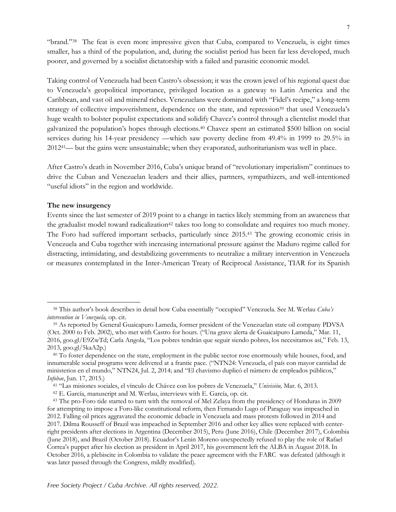"brand."38 The feat is even more impressive given that Cuba, compared to Venezuela, is eight times smaller, has a third of the population, and, during the socialist period has been far less developed, much poorer, and governed by a socialist dictatorship with a failed and parasitic economic model.

Taking control of Venezuela had been Castro's obsession; it was the crown jewel of his regional quest due to Venezuela's geopolitical importance, privileged location as a gateway to Latin America and the Caribbean, and vast oil and mineral riches. Venezuelans were dominated with "Fidel's recipe," a long-term strategy of collective impoverishment, dependence on the state, and repression<sup>39</sup> that used Venezuela's huge wealth to bolster populist expectations and solidify Chavez's control through a clientelist model that galvanized the population's hopes through elections.40 Chavez spent an estimated \$500 billion on social services during his 14-year presidency —which saw poverty decline from 49.4% in 1999 to 29.5% in 201241— but the gains were unsustainable; when they evaporated, authoritarianism was well in place.

After Castro's death in November 2016, Cuba's unique brand of "revolutionary imperialism" continues to drive the Cuban and Venezuelan leaders and their allies, partners, sympathizers, and well-intentioned "useful idiots" in the region and worldwide.

#### **The new insurgency**

Events since the last semester of 2019 point to a change in tactics likely stemming from an awareness that the gradualist model toward radicalization<sup>42</sup> takes too long to consolidate and requires too much money. The Foro had suffered important setbacks, particularly since 2015.43 The growing economic crisis in Venezuela and Cuba together with increasing international pressure against the Maduro regime called for distracting, intimidating, and destabilizing governments to neutralize a military intervention in Venezuela or measures contemplated in the Inter-American Treaty of Reciprocal Assistance, TIAR for its Spanish

<sup>38</sup> This author's book describes in detail how Cuba essentially "occupied" Venezuela. See M. Werlau *Cuba's intervention in Venezuela,* op. cit.

<sup>39</sup> As reported by General Guaicapuro Lameda, former president of the Venezuelan state oil company PDVSA (Oct. 2000 to Feb. 2002), who met with Castro for hours. ("Una grave alerta de Guaicaipuro Lameda," Mar. 11, 2016, goo.gl/E9ZwTd; Carla Angola, "Los pobres tendrán que seguir siendo pobres, los necesitamos así," Feb. 13, 2013, goo.gl/5kaA2p.)

<sup>&</sup>lt;sup>40</sup> To foster dependence on the state, employment in the public sector rose enormously while houses, food, and innumerable social programs were delivered at a frantic pace. ("NTN24: Venezuela, el país con mayor cantidad de ministerios en el mundo," NTN24, Jul. 2, 2014; and "El chavismo duplicó el número de empleados públicos," *Infobae*, Jun. 17, 2015.)

<sup>41</sup> "Las misiones sociales, el vínculo de Chávez con los pobres de Venezuela," *Univisión,* Mar. 6, 2013.

<sup>42</sup> E. García, manuscript and M. Werlau, interviews with E. García, op. cit.

<sup>43</sup> The pro-Foro tide started to turn with the removal of Mel Zelaya from the presidency of Honduras in 2009 for attempting to impose a Foro-like constitutional reform, then Fernando Lugo of Paraguay was impeached in 2012. Falling oil prices aggravated the economic debacle in Venezuela and mass protests followed in 2014 and 2017. Dilma Rousseff of Brazil was impeached in September 2016 and other key allies were replaced with centerright presidents after elections in Argentina (December 2015), Peru (June 2016), Chile (December 2017), Colombia (June 2018), and Brazil (October 2018). Ecuador's Lenin Moreno unexpectedly refused to play the role of Rafael Correa's puppet after his election as president in April 2017, his government left the ALBA in August 2018. In October 2016, a plebiscite in Colombia to validate the peace agreement with the FARC was defeated (although it was later passed through the Congress, mildly modified).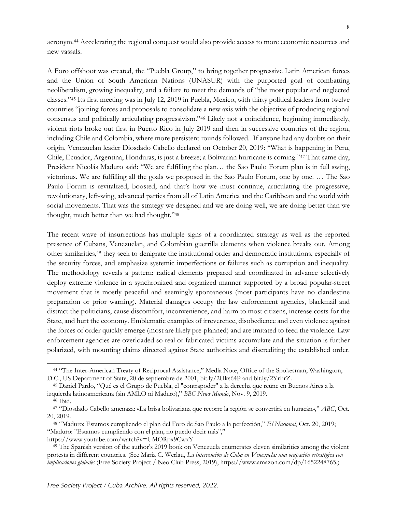acronym.44 Accelerating the regional conquest would also provide access to more economic resources and new vassals.

A Foro offshoot was created, the "Puebla Group," to bring together progressive Latin American forces and the Union of South American Nations (UNASUR) with the purported goal of combatting neoliberalism, growing inequality, and a failure to meet the demands of "the most popular and neglected classes."45 Its first meeting was in July 12, 2019 in Puebla, Mexico, with thirty political leaders from twelve countries "joining forces and proposals to consolidate a new axis with the objective of producing regional consensus and politically articulating progressivism."46 Likely not a coincidence, beginning immediately, violent riots broke out first in Puerto Rico in July 2019 and then in successive countries of the region, including Chile and Colombia, where more persistent rounds followed. If anyone had any doubts on their origin, Venezuelan leader Diosdado Cabello declared on October 20, 2019: "What is happening in Peru, Chile, Ecuador, Argentina, Honduras, is just a breeze; a Bolivarian hurricane is coming."47 That same day, President Nicolás Maduro said: "We are fulfilling the plan… the Sao Paulo Forum plan is in full swing, victorious. We are fulfilling all the goals we proposed in the Sao Paulo Forum, one by one. … The Sao Paulo Forum is revitalized, boosted, and that's how we must continue, articulating the progressive, revolutionary, left-wing, advanced parties from all of Latin America and the Caribbean and the world with social movements. That was the strategy we designed and we are doing well, we are doing better than we thought, much better than we had thought."48

The recent wave of insurrections has multiple signs of a coordinated strategy as well as the reported presence of Cubans, Venezuelan, and Colombian guerrilla elements when violence breaks out. Among other similarities,49 they seek to denigrate the institutional order and democratic institutions, especially of the security forces, and emphasize systemic imperfections or failures such as corruption and inequality. The methodology reveals a pattern: radical elements prepared and coordinated in advance selectively deploy extreme violence in a synchronized and organized manner supported by a broad popular-street movement that is mostly peaceful and seemingly spontaneous (most participants have no clandestine preparation or prior warning). Material damages occupy the law enforcement agencies, blackmail and distract the politicians, cause discomfort, inconvenience, and harm to most citizens, increase costs for the State, and hurt the economy. Emblematic examples of irreverence, disobedience and even violence against the forces of order quickly emerge (most are likely pre-planned) and are imitated to feed the violence. Law enforcement agencies are overloaded so real or fabricated victims accumulate and the situation is further polarized, with mounting claims directed against State authorities and discrediting the established order.

<sup>44</sup> "The Inter-American Treaty of Reciprocal Assistance," Media Note, Office of the Spokesman, Washington, D.C., US Department of State, 20 de septiembre de 2001, bit.ly/2Hks64P and bit.ly/2YrIirZ.

<sup>45</sup> Daniel Pardo, "Qué es el Grupo de Puebla, el "contrapoder" a la derecha que reúne en Buenos Aires a la izquierda latinoamericana (sin AMLO ni Maduro)," *BBC News Mundo*, Nov. 9, 2019.

<sup>46</sup> Ibid.

<sup>47</sup> "Diosdado Cabello amenaza: «La brisa bolivariana que recorre la región se convertirá en huracán»," *ABC*, Oct. 20, 2019.

<sup>48</sup> "Maduro: Estamos cumpliendo el plan del Foro de Sao Paulo a la perfección," *El Nacional*, Oct. 20, 2019; "Maduro: "Estamos cumpliendo con el plan, no puedo decir más"," https://www.youtube.com/watch?v=UMORpx9CwxY.

<sup>49</sup> The Spanish version of the author's 2019 book on Venezuela enumerates eleven similarities among the violent protests in different countries. (See Maria C. Werlau, *La intervención de Cuba en Venezuela: una ocupación estratégica con implicaciones globales* (Free Society Project / Neo Club Press, 2019), https://www.amazon.com/dp/1652248765.)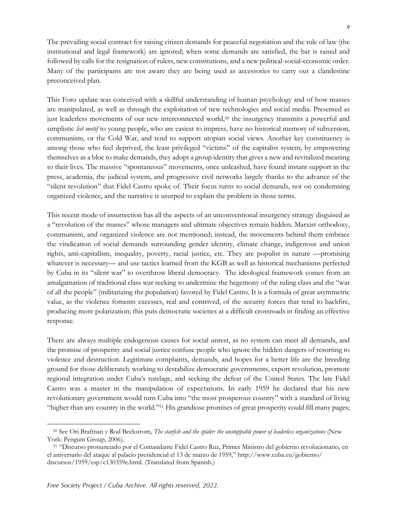9

The prevailing social contract for raising citizen demands for peaceful negotiation and the rule of law (the institutional and legal framework) are ignored; when some demands are satisfied, the bar is raised and followed by calls for the resignation of rulers, new constitutions, and a new political-social-economic order. Many of the participants are not aware they are being used as accessories to carry out a clandestine preconceived plan.

This Foro update was conceived with a skillful understanding of human psychology and of how masses are manipulated, as well as through the exploitation of new technologies and social media. Presented as just leaderless movements of our new interconnected world,<sup>50</sup> the insurgency transmits a powerful and simplistic *leit motif* to young people, who are easiest to impress, have no historical memory of subversion, communism, or the Cold War, and tend to support utopian social views. Another key constituency is among those who feel deprived, the least privileged "victims" of the capitalist system; by empowering themselves as a bloc to make demands, they adopt a group identity that gives a new and revitalized meaning to their lives. The massive "spontaneous" movements, once unleashed, have found instant support in the press, academia, the judicial system, and progressive civil networks largely thanks to the advance of the "silent revolution" that Fidel Castro spoke of. Their focus turns to social demands, not on condemning organized violence, and the narrative is usurped to explain the problem in those terms.

This recent mode of insurrection has all the aspects of an unconventional insurgency strategy disguised as a "revolution of the masses" whose managers and ultimate objectives remain hidden. Marxist orthodoxy, communism, and organized violence are not mentioned; instead, the movements behind them embrace the vindication of social demands surrounding gender identity, climate change, indigenous and union rights, anti-capitalism, inequality, poverty, racial justice, etc. They are populist in nature —promising whatever is necessary— and use tactics learned from the KGB as well as historical mechanisms perfected by Cuba in its "silent war" to overthrow liberal democracy. The ideological framework comes from an amalgamation of traditional class war seeking to undermine the hegemony of the ruling class and the "war of all the people" (militarizing the population) favored by Fidel Castro. It is a formula of great asymmetric value, as the violence foments excesses, real and contrived, of the security forces that tend to backfire, producing more polarization; this puts democratic societies at a difficult crossroads in finding an effective response.

There are always multiple endogenous causes for social unrest, as no system can meet all demands, and the promise of prosperity and social justice confuse people who ignore the hidden dangers of resorting to violence and destruction. Legitimate complaints, demands, and hopes for a better life are the breeding ground for those deliberately working to destabilize democratic governments, export revolution, promote regional integration under Cuba's tutelage, and seeking the defeat of the United States. The late Fidel Castro was a master in the manipulation of expectations. In early 1959 he declared that his new revolutionary government would turn Cuba into "the most prosperous country" with a standard of living "higher than any country in the world."51 His grandiose promises of great prosperity could fill many pages;

<sup>50</sup> See Ori Brafman y Rod Beckstrom, *The starfish and the spider: the unstoppable power of leaderless organizations* (New York: Penguin Group, 2006).

<sup>51</sup> "Discurso pronunciado por el Comandante Fidel Castro Ruz, Primer Ministro del gobierno revolucionario, en el aniversario del ataque al palacio presidencial el 13 de marzo de 1959," http://www.cuba.cu/gobierno/ discursos/1959/esp/c130359e.html. (Translated from Spanish.)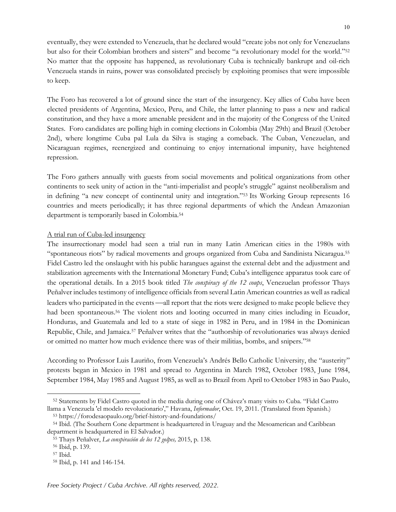eventually, they were extended to Venezuela, that he declared would "create jobs not only for Venezuelans but also for their Colombian brothers and sisters" and become "a revolutionary model for the world."52 No matter that the opposite has happened, as revolutionary Cuba is technically bankrupt and oil-rich Venezuela stands in ruins, power was consolidated precisely by exploiting promises that were impossible to keep.

The Foro has recovered a lot of ground since the start of the insurgency. Key allies of Cuba have been elected presidents of Argentina, Mexico, Peru, and Chile, the latter planning to pass a new and radical constitution, and they have a more amenable president and in the majority of the Congress of the United States. Foro candidates are polling high in coming elections in Colombia (May 29th) and Brazil (October 2nd), where longtime Cuba pal Lula da Silva is staging a comeback. The Cuban, Venezuelan, and Nicaraguan regimes, reenergized and continuing to enjoy international impunity, have heightened repression.

The Foro gathers annually with guests from social movements and political organizations from other continents to seek unity of action in the "anti-imperialist and people's struggle" against neoliberalism and in defining "a new concept of continental unity and integration."53 Its Working Group represents 16 countries and meets periodically; it has three regional departments of which the Andean Amazonian department is temporarily based in Colombia.54

#### A trial run of Cuba-led insurgency

The insurrectionary model had seen a trial run in many Latin American cities in the 1980s with "spontaneous riots" by radical movements and groups organized from Cuba and Sandinista Nicaragua.55 Fidel Castro led the onslaught with his public harangues against the external debt and the adjustment and stabilization agreements with the International Monetary Fund; Cuba's intelligence apparatus took care of the operational details. In a 2015 book titled *The conspiracy of the 12 coups*, Venezuelan professor Thays Peñalver includes testimony of intelligence officials from several Latin American countries as well as radical leaders who participated in the events —all report that the riots were designed to make people believe they had been spontaneous.<sup>56</sup> The violent riots and looting occurred in many cities including in Ecuador, Honduras, and Guatemala and led to a state of siege in 1982 in Peru, and in 1984 in the Dominican Republic, Chile, and Jamaica.57 Peñalver writes that the "authorship of revolutionaries was always denied or omitted no matter how much evidence there was of their militias, bombs, and snipers."58

According to Professor Luis Lauriño, from Venezuela's Andrés Bello Catholic University, the "austerity" protests began in Mexico in 1981 and spread to Argentina in March 1982, October 1983, June 1984, September 1984, May 1985 and August 1985, as well as to Brazil from April to October 1983 in Sao Paulo,

<sup>52</sup> Statements by Fidel Castro quoted in the media during one of Chávez's many visits to Cuba. "Fidel Castro llama a Venezuela 'el modelo revolucionario'," Havana, *Informador*, Oct. 19, 2011. (Translated from Spanish.)

<sup>53</sup> https://forodesaopaulo.org/brief-history-and-foundations/

<sup>54</sup> Ibid. (The Southern Cone department is headquartered in Uruguay and the Mesoamerican and Caribbean department is headquartered in El Salvador.)

<sup>55</sup> Thays Peñalver, *La conspiración de los 12 golpes,* 2015, p. 138.

<sup>56</sup> Ibid, p. 139.

<sup>57</sup> Ibid.

<sup>58</sup> Ibid, p. 141 and 146-154.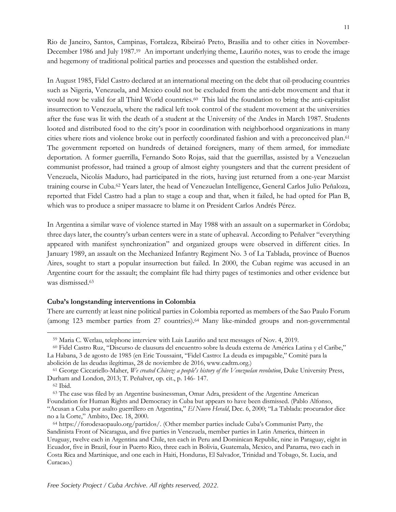11

Rio de Janeiro, Santos, Campinas, Fortaleza, Ribeiraô Preto, Brasilia and to other cities in November-December 1986 and July 1987.59 An important underlying theme, Lauriño notes, was to erode the image and hegemony of traditional political parties and processes and question the established order.

In August 1985, Fidel Castro declared at an international meeting on the debt that oil-producing countries such as Nigeria, Venezuela, and Mexico could not be excluded from the anti-debt movement and that it would now be valid for all Third World countries.<sup>60</sup> This laid the foundation to bring the anti-capitalist insurrection to Venezuela, where the radical left took control of the student movement at the universities after the fuse was lit with the death of a student at the University of the Andes in March 1987. Students looted and distributed food to the city's poor in coordination with neighborhood organizations in many cities where riots and violence broke out in perfectly coordinated fashion and with a preconceived plan.61 The government reported on hundreds of detained foreigners, many of them armed, for immediate deportation. A former guerrilla, Fernando Soto Rojas, said that the guerrillas, assisted by a Venezuelan communist professor, had trained a group of almost eighty youngsters and that the current president of Venezuela, Nicolás Maduro, had participated in the riots, having just returned from a one-year Marxist training course in Cuba.62 Years later, the head of Venezuelan Intelligence, General Carlos Julio Peñaloza, reported that Fidel Castro had a plan to stage a coup and that, when it failed, he had opted for Plan B, which was to produce a sniper massacre to blame it on President Carlos Andrés Pérez.

In Argentina a similar wave of violence started in May 1988 with an assault on a supermarket in Córdoba; three days later, the country's urban centers were in a state of upheaval. According to Peñalver "everything appeared with manifest synchronization" and organized groups were observed in different cities. In January 1989, an assault on the Mechanized Infantry Regiment No. 3 of La Tablada, province of Buenos Aires, sought to start a popular insurrection but failed. In 2000, the Cuban regime was accused in an Argentine court for the assault; the complaint file had thirty pages of testimonies and other evidence but was dismissed.63

### **Cuba's longstanding interventions in Colombia**

There are currently at least nine political parties in Colombia reported as members of the Sao Paulo Forum (among 123 member parties from 27 countries).64 Many like-minded groups and non-governmental

<sup>59</sup> Maria C. Werlau, telephone interview with Luis Lauriño and text messages of Nov. 4, 2019.

<sup>60</sup> Fidel Castro Ruz, "Discurso de clausura del encuentro sobre la deuda externa de América Latina y el Caribe," La Habana, 3 de agosto de 1985 (en Eric Toussaint, "Fidel Castro: La deuda es impagable," Comité para la abolición de las deudas ilegítimas, 28 de noviembre de 2016, www.cadtm.org.)

<sup>61</sup> George Ciccariello-Maher, *We created Chávez: a people's history of the Venezuelan revolution*, Duke University Press, Durham and London, 2013; T. Peñalver, op. cit., p. 146- 147.

<sup>62</sup> Ibid.

<sup>63</sup> The case was filed by an Argentine businessman, Omar Adra, president of the Argentine American Foundation for Human Rights and Democracy in Cuba but appears to have been dismissed. (Pablo Alfonso, "Acusan a Cuba por asalto guerrillero en Argentina," *El Nuevo Herald*, Dec. 6, 2000; "La Tablada: procurador dice no a la Corte," Ambito, Dec. 18, 2000.

<sup>64</sup> https://forodesaopaulo.org/partidos/. (Other member parties include Cuba's Communist Party, the Sandinista Front of Nicaragua, and five parties in Venezuela, member parties in Latin America, thirteen in Uruguay, twelve each in Argentina and Chile, ten each in Peru and Dominican Republic, nine in Paraguay, eight in Ecuador, five in Brazil, four in Puerto Rico, three each in Bolivia, Guatemala, Mexico, and Panama, two each in Costa Rica and Martinique, and one each in Haiti, Honduras, El Salvador, Trinidad and Tobago, St. Lucia, and Curacao.)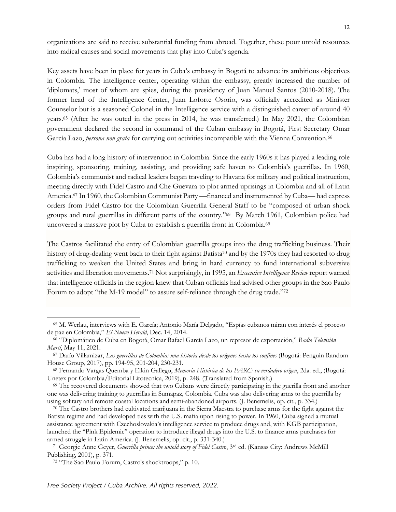organizations are said to receive substantial funding from abroad. Together, these pour untold resources into radical causes and social movements that play into Cuba's agenda.

Key assets have been in place for years in Cuba's embassy in Bogotá to advance its ambitious objectives in Colombia. The intelligence center, operating within the embassy, greatly increased the number of 'diplomats,' most of whom are spies, during the presidency of Juan Manuel Santos (2010-2018). The former head of the Intelligence Center, Juan Loforte Osorio, was officially accredited as Minister Counselor but is a seasoned Colonel in the Intelligence service with a distinguished career of around 40 years.65 (After he was outed in the press in 2014, he was transferred.) In May 2021, the Colombian government declared the second in command of the Cuban embassy in Bogotá, First Secretary Omar García Lazo, *persona non grata* for carrying out activities incompatible with the Vienna Convention.66

Cuba has had a long history of intervention in Colombia. Since the early 1960s it has played a leading role inspiring, sponsoring, training, assisting, and providing safe haven to Colombia's guerrillas. In 1960, Colombia's communist and radical leaders began traveling to Havana for military and political instruction, meeting directly with Fidel Castro and Che Guevara to plot armed uprisings in Colombia and all of Latin America.67 In 1960, the Colombian Communist Party —financed and instrumented by Cuba— had express orders from Fidel Castro for the Colombian Guerrilla General Staff to be "composed of urban shock groups and rural guerrillas in different parts of the country."68 By March 1961, Colombian police had uncovered a massive plot by Cuba to establish a guerrilla front in Colombia.69

The Castros facilitated the entry of Colombian guerrilla groups into the drug trafficking business. Their history of drug-dealing went back to their fight against Batista<sup>70</sup> and by the 1970s they had resorted to drug trafficking to weaken the United States and bring in hard currency to fund international subversive activities and liberation movements.71 Not surprisingly, in 1995, an *Executive Intelligence Review* report warned that intelligence officials in the region knew that Cuban officials had advised other groups in the Sao Paulo Forum to adopt "the M-19 model" to assure self-reliance through the drug trade."72

<sup>65</sup> M. Werlau, interviews with E. García; Antonio María Delgado, "Espías cubanos miran con interés el proceso de paz en Colombia," *El Nuevo Herald*, Dec. 14, 2014.

<sup>66</sup> "Diplomático de Cuba en Bogotá, Omar Rafael García Lazo, un represor de exportación," *Radio Televisión Martí*, May 11, 2021.

<sup>67</sup> Darío Villamizar, *Las guerrillas de Colombia: una historia desde los orígenes hasta los confines* (Bogotá: Penguin Random House Group, 2017), pp. 194-95, 201-204, 230-231.

<sup>68</sup> Fernando Vargas Quemba y Elkin Gallego, *Memoria Histórica de las FARC: su verdadero origen*, 2da. ed., (Bogotá: Unetex por Colombia/Editorial Litotecnica, 2019), p. 248. (Translated from Spanish.)

<sup>69</sup> The recovered documents showed that two Cubans were directly participating in the guerilla front and another one was delivering training to guerrillas in Sumapaz, Colombia. Cuba was also delivering arms to the guerrilla by using solitary and remote coastal locations and semi-abandoned airports. (J. Benemelis, op. cit., p. 334.)

<sup>70</sup> The Castro brothers had cultivated marijuana in the Sierra Maestra to purchase arms for the fight against the Batista regime and had developed ties with the U.S. mafia upon rising to power. In 1960, Cuba signed a mutual assistance agreement with Czechoslovakia's intelligence service to produce drugs and, with KGB participation, launched the "Pink Epidemic" operation to introduce illegal drugs into the U.S. to finance arms purchases for armed struggle in Latin America. (J. Benemelis, op. cit., p. 331-340.)

<sup>71</sup> Georgie Anne Geyer, *Guerrilla prince: the untold story of Fidel Castro*, 3rd ed. (Kansas City: Andrews McMill Publishing, 2001), p. 371.

<sup>72</sup> "The Sao Paulo Forum, Castro's shocktroops," p. 10.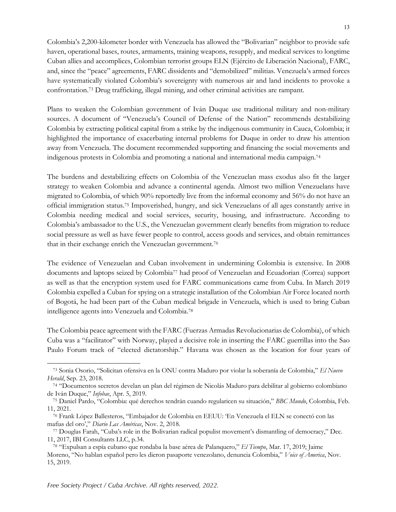Colombia's 2,200-kilometer border with Venezuela has allowed the "Bolivarian" neighbor to provide safe haven, operational bases, routes, armaments, training weapons, resupply, and medical services to longtime Cuban allies and accomplices, Colombian terrorist groups ELN (Ejército de Liberación Nacional), FARC, and, since the "peace" agreements, FARC dissidents and "demobilized" militias. Venezuela's armed forces have systematically violated Colombia's sovereignty with numerous air and land incidents to provoke a confrontation.73 Drug trafficking, illegal mining, and other criminal activities are rampant.

Plans to weaken the Colombian government of Iván Duque use traditional military and non-military sources. A document of "Venezuela's Council of Defense of the Nation" recommends destabilizing Colombia by extracting political capital from a strike by the indigenous community in Cauca, Colombia; it highlighted the importance of exacerbating internal problems for Duque in order to draw his attention away from Venezuela. The document recommended supporting and financing the social movements and indigenous protests in Colombia and promoting a national and international media campaign.74

The burdens and destabilizing effects on Colombia of the Venezuelan mass exodus also fit the larger strategy to weaken Colombia and advance a continental agenda. Almost two million Venezuelans have migrated to Colombia, of which 90% reportedly live from the informal economy and 56% do not have an official immigration status.75 Impoverished, hungry, and sick Venezuelans of all ages constantly arrive in Colombia needing medical and social services, security, housing, and infrastructure. According to Colombia's ambassador to the U.S., the Venezuelan government clearly benefits from migration to reduce social pressure as well as have fewer people to control, access goods and services, and obtain remittances that in their exchange enrich the Venezuelan government.76

The evidence of Venezuelan and Cuban involvement in undermining Colombia is extensive. In 2008 documents and laptops seized by Colombia77 had proof of Venezuelan and Ecuadorian (Correa) support as well as that the encryption system used for FARC communications came from Cuba. In March 2019 Colombia expelled a Cuban for spying on a strategic installation of the Colombian Air Force located north of Bogotá, he had been part of the Cuban medical brigade in Venezuela, which is used to bring Cuban intelligence agents into Venezuela and Colombia.78

The Colombia peace agreement with the FARC (Fuerzas Armadas Revolucionarias de Colombia), of which Cuba was a "facilitator" with Norway, played a decisive role in inserting the FARC guerrillas into the Sao Paulo Forum track of "elected dictatorship." Havana was chosen as the location for four years of

<sup>73</sup> Sonia Osorio, "Solicitan ofensiva en la ONU contra Maduro por violar la soberanía de Colombia," *El Nuevo Herald*, Sep. 23, 2018.

<sup>74</sup> "Documentos secretos develan un plan del régimen de Nicolás Maduro para debilitar al gobierno colombiano de Iván Duque," *Infobae*, Apr. 5, 2019.

<sup>75</sup> Daniel Pardo, "Colombia: qué derechos tendrán cuando regularicen su situación," *BBC Mundo*, Colombia, Feb. 11, 2021.

<sup>76</sup> Frank López Ballesteros, "Embajador de Colombia en EEUU: 'En Venezuela el ELN se conectó con las mafias del oro'," *Diario Las Américas*, Nov. 2, 2018.

<sup>77</sup> Douglas Farah, "Cuba's role in the Bolivarian radical populist movement's dismantling of democracy," Dec. 11, 2017, IBI Consultants LLC, p.34. 78 "Expulsan a espía cubano que rondaba la base aérea de Palanquero," *El Tiempo*, Mar. 17, 2019; Jaime

Moreno, "No hablan español pero les dieron pasaporte venezolano, denuncia Colombia," *Voice of America*, Nov. 15, 2019.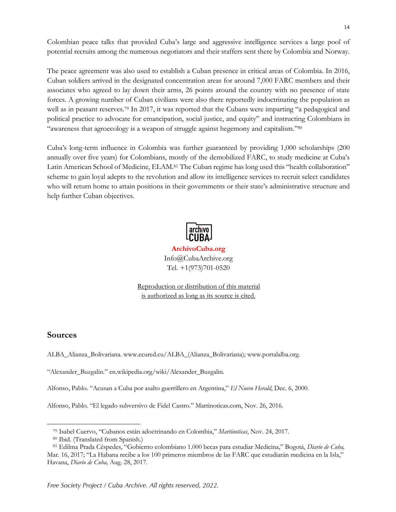Colombian peace talks that provided Cuba's large and aggressive intelligence services a large pool of potential recruits among the numerous negotiators and their staffers sent there by Colombia and Norway.

The peace agreement was also used to establish a Cuban presence in critical areas of Colombia. In 2016, Cuban soldiers arrived in the designated concentration areas for around 7,000 FARC members and their associates who agreed to lay down their arms, 26 points around the country with no presence of state forces. A growing number of Cuban civilians were also there reportedly indoctrinating the population as well as in peasant reserves.<sup>79</sup> In 2017, it was reported that the Cubans were imparting "a pedagogical and political practice to advocate for emancipation, social justice, and equity" and instructing Colombians in "awareness that agroecology is a weapon of struggle against hegemony and capitalism."80

Cuba's long-term influence in Colombia was further guaranteed by providing 1,000 scholarships (200 annually over five years) for Colombians, mostly of the demobilized FARC, to study medicine at Cuba's Latin American School of Medicine, ELAM.81 The Cuban regime has long used this "health collaboration" scheme to gain loyal adepts to the revolution and allow its intelligence services to recruit select candidates who will return home to attain positions in their governments or their state's administrative structure and help further Cuban objectives.



**ArchivoCuba.org** Info@CubaArchive.org Tel. +1(973)701-0520

Reproduction or distribution of this material is authorized as long as its source is cited.

## **Sources**

ALBA\_Alianza\_Bolivariana. www.ecured.cu/ALBA\_(Alianza\_Bolivariana); www.portalalba.org.

"Alexander\_Buzgalin." en.wikipedia.org/wiki/Alexander\_Buzgalin.

Alfonso, Pablo. "Acusan a Cuba por asalto guerrillero en Argentina," *El Nuevo Herald*, Dec. 6, 2000.

Alfonso, Pablo. "El legado subversivo de Fidel Castro." Martinoticas.com, Nov. 26, 2016.

<sup>79</sup> Isabel Cuervo, "Cubanos están adoctrinando en Colombia," *Martinoticas*, Nov. 24, 2017.

<sup>80</sup> Ibid. (Translated from Spanish.)

<sup>81</sup> Edilma Prada Céspedes, "Gobierno colombiano 1.000 becas para estudiar Medicina," Bogotá, *Diario de Cuba,*  Mar. 16, 2017; "La Habana recibe a los 100 primeros miembros de las FARC que estudiarán medicina en la Isla," Havana, *Diario de Cuba,* Aug. 28, 2017.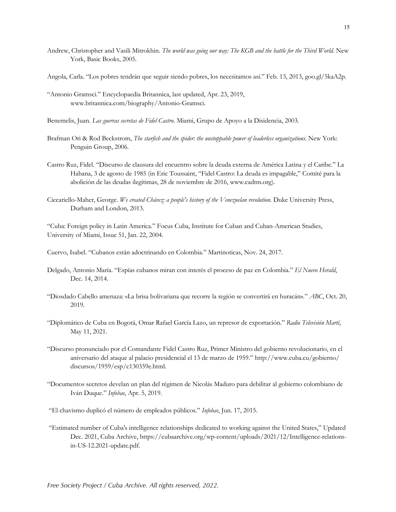- Andrew, Christopher and Vasili Mitrokhin. *The world was going our way: The KGB and the battle for the Third World*. New York, Basic Books, 2005.
- Angola, Carla. "Los pobres tendrán que seguir siendo pobres, los necesitamos así." Feb. 13, 2013, goo.gl/5kaA2p.
- "Antonio Gramsci." Encyclopaedia Britannica, last updated, Apr. 23, 2019, www.britannica.com/biography/Antonio-Gramsci.
- Benemelis, Juan. *Las guerras secretas de Fidel Castro*. Miami, Grupo de Apoyo a la Disidencia, 2003.
- Brafman Ori & Rod Beckstrom, *The starfish and the spider: the unstoppable power of leaderless organizations*. New York: Penguin Group, 2006.
- Castro Ruz, Fidel. "Discurso de clausura del encuentro sobre la deuda externa de América Latina y el Caribe." La Habana, 3 de agosto de 1985 (in Eric Toussaint, "Fidel Castro: La deuda es impagable," Comité para la abolición de las deudas ilegítimas, 28 de noviembre de 2016, www.cadtm.org).
- Ciccariello-Maher, George. *We created Chávez: a people's history of the Venezuelan revolution*. Duke University Press, Durham and London, 2013.

"Cuba: Foreign policy in Latin America." Focus Cuba, Institute for Cuban and Cuban-American Studies, University of Miami, Issue 51, Jan. 22, 2004.

Cuervo, Isabel. "Cubanos están adoctrinando en Colombia." Martinoticas, Nov. 24, 2017.

- Delgado, Antonio María. "Espías cubanos miran con interés el proceso de paz en Colombia." *El Nuevo Herald*, Dec. 14, 2014.
- "Diosdado Cabello amenaza: «La brisa bolivariana que recorre la región se convertirá en huracán»." *ABC*, Oct. 20, 2019.
- "Diplomático de Cuba en Bogotá, Omar Rafael García Lazo, un represor de exportación." *Radio Televisión Martí*, May 11, 2021.
- "Discurso pronunciado por el Comandante Fidel Castro Ruz, Primer Ministro del gobierno revolucionario, en el aniversario del ataque al palacio presidencial el 13 de marzo de 1959." http://www.cuba.cu/gobierno/ discursos/1959/esp/c130359e.html.
- "Documentos secretos develan un plan del régimen de Nicolás Maduro para debilitar al gobierno colombiano de Iván Duque." *Infobae*, Apr. 5, 2019.
- "El chavismo duplicó el número de empleados públicos." *Infobae*, Jun. 17, 2015.
- "Estimated number of Cuba's intelligence relationships dedicated to working against the United States," Updated Dec. 2021, Cuba Archive, https://cubaarchive.org/wp-content/uploads/2021/12/Intelligence-relationsin-US-12.2021-update.pdf.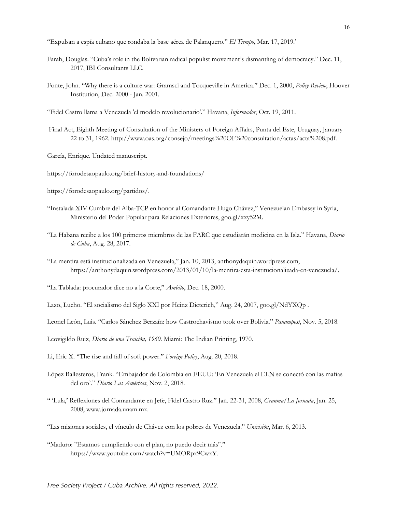"Expulsan a espía cubano que rondaba la base aérea de Palanquero." *El Tiempo*, Mar. 17, 2019.'

- Farah, Douglas. "Cuba's role in the Bolivarian radical populist movement's dismantling of democracy." Dec. 11, 2017, IBI Consultants LLC.
- Fonte, John. "Why there is a culture war: Gramsci and Tocqueville in America." Dec. 1, 2000, *Policy Review*, Hoover Institution, Dec. 2000 - Jan. 2001.
- "Fidel Castro llama a Venezuela 'el modelo revolucionario'." Havana, *Informador*, Oct. 19, 2011.
- Final Act, Eighth Meeting of Consultation of the Ministers of Foreign Affairs, Punta del Este, Uruguay, January 22 to 31, 1962. http://www.oas.org/consejo/meetings%20OF%20consultation/actas/acta%208.pdf.
- García, Enrique. Undated manuscript.
- https://forodesaopaulo.org/brief-history-and-foundations/
- https://forodesaopaulo.org/partidos/.
- "Instalada XIV Cumbre del Alba-TCP en honor al Comandante Hugo Chávez," Venezuelan Embassy in Syria, Ministerio del Poder Popular para Relaciones Exteriores, goo.gl/xxy52M.
- "La Habana recibe a los 100 primeros miembros de las FARC que estudiarán medicina en la Isla." Havana, *Diario de Cuba*, Aug. 28, 2017.
- "La mentira está institucionalizada en Venezuela," Jan. 10, 2013, anthonydaquin.wordpress.com, https://anthonydaquin.wordpress.com/2013/01/10/la-mentira-esta-institucionalizada-en-venezuela/.
- "La Tablada: procurador dice no a la Corte," *Ambito*, Dec. 18, 2000.
- Lazo, Lucho. "El socialismo del Siglo XXI por Heinz Dieterich," Aug. 24, 2007, goo.gl/NdYXQp .
- Leonel León, Luis. "Carlos Sánchez Berzaín: how Castrochavismo took over Bolivia." *Panampost*, Nov. 5, 2018.

Leovigildo Ruiz, *Diario de una Traición, 1960*. Miami: The Indian Printing, 1970.

- Li, Eric X. "The rise and fall of soft power." *Foreign Policy*, Aug. 20, 2018.
- López Ballesteros, Frank. "Embajador de Colombia en EEUU: 'En Venezuela el ELN se conectó con las mafias del oro'." *Diario Las Américas*, Nov. 2, 2018.
- " 'Lula,' Reflexiones del Comandante en Jefe, Fidel Castro Ruz." Jan. 22-31, 2008, *Granma*/*La Jornada*, Jan. 25, 2008, www.jornada.unam.mx.
- "Las misiones sociales, el vínculo de Chávez con los pobres de Venezuela." *Univisión*, Mar. 6, 2013.
- "Maduro: "Estamos cumpliendo con el plan, no puedo decir más"." https://www.youtube.com/watch?v=UMORpx9CwxY.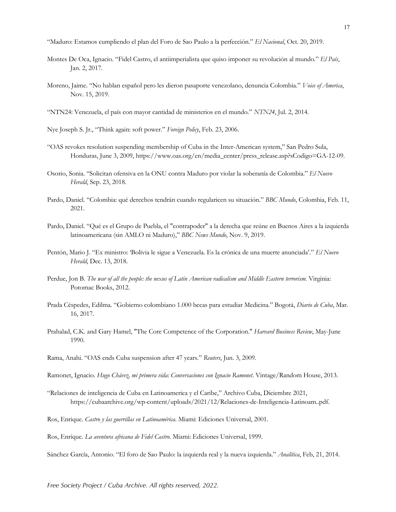"Maduro: Estamos cumpliendo el plan del Foro de Sao Paulo a la perfección." *El Nacional*, Oct. 20, 2019.

- Montes De Oca, Ignacio. "Fidel Castro, el antiimperialista que quiso imponer su revolución al mundo." *El País*, Jan. 2, 2017.
- Moreno, Jaime. "No hablan español pero les dieron pasaporte venezolano, denuncia Colombia." *Voice of America*, Nov. 15, 2019.
- "NTN24: Venezuela, el país con mayor cantidad de ministerios en el mundo." *NTN24*, Jul. 2, 2014.
- Nye Joseph S. Jr., "Think again: soft power." *Foreign Policy*, Feb. 23, 2006.
- "OAS revokes resolution suspending membership of Cuba in the Inter-American system," San Pedro Sula, Honduras, June 3, 2009, https://www.oas.org/en/media\_center/press\_release.asp?sCodigo=GA-12-09.
- Osorio, Sonia. "Solicitan ofensiva en la ONU contra Maduro por violar la soberanía de Colombia." *El Nuevo Herald*, Sep. 23, 2018.
- Pardo, Daniel. "Colombia: qué derechos tendrán cuando regularicen su situación." *BBC Mundo*, Colombia, Feb. 11, 2021.
- Pardo, Daniel. "Qué es el Grupo de Puebla, el "contrapoder" a la derecha que reúne en Buenos Aires a la izquierda latinoamericana (sin AMLO ni Maduro)," *BBC News Mundo*, Nov. 9, 2019.
- Pentón, Mario J. "Ex ministro: 'Bolivia le sigue a Venezuela. Es la crónica de una muerte anunciada'." *El Nuevo Herald*, Dec. 13, 2018.
- Perdue, Jon B. *The war of all the people: the nexus of Latin American radicalism and Middle Eastern terrorism*. Virginia: Potomac Books, 2012.
- Prada Céspedes, Edilma. "Gobierno colombiano 1.000 becas para estudiar Medicina." Bogotá, *Diario de Cuba*, Mar. 16, 2017.
- Prahalad, C.K. and Gary Hamel, "The Core Competence of the Corporation." *Harvard Business Review*, May-June 1990.
- Rama, Anahi. "OAS ends Cuba suspension after 47 years." *Reuters*, Jun. 3, 2009.
- Ramonet, Ignacio. *Hugo Chávez, mi primera vida: Conversaciones con Ignacio Ramonet*. Vintage/Random House, 2013.
- "Relaciones de inteligencia de Cuba en Latinoamerica y el Caribe," Archivo Cuba, Diciembre 2021, https://cubaarchive.org/wp-content/uploads/2021/12/Relaciones-de-Inteligencia-Latinoam..pdf.
- Ros, Enrique. *Castro y las guerrillas en Latinoamérica*. Miami: Ediciones Universal, 2001.

Ros, Enrique. *La aventura africana de Fidel Castro*. Miami: Ediciones Universal, 1999.

Sánchez García, Antonio. "El foro de Sao Paulo: la izquierda real y la nueva izquierda." *Analítica*, Feb, 21, 2014.